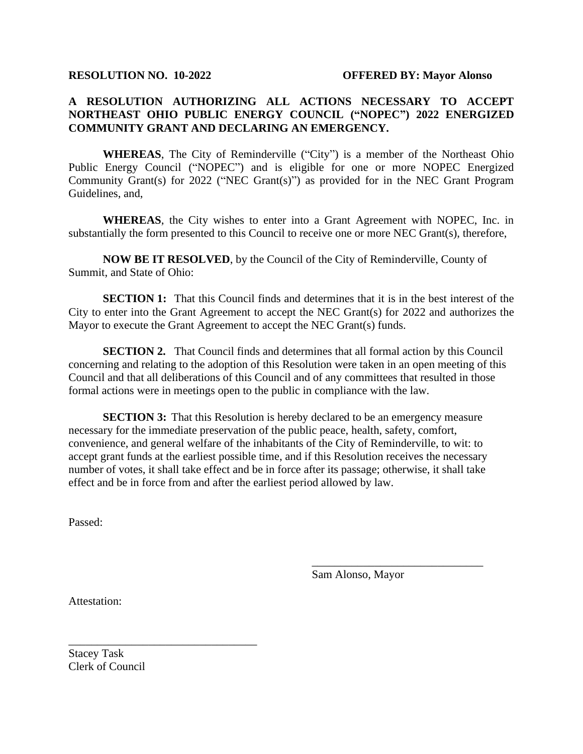## **A RESOLUTION AUTHORIZING ALL ACTIONS NECESSARY TO ACCEPT NORTHEAST OHIO PUBLIC ENERGY COUNCIL ("NOPEC") 2022 ENERGIZED COMMUNITY GRANT AND DECLARING AN EMERGENCY.**

**WHEREAS**, The City of Reminderville ("City") is a member of the Northeast Ohio Public Energy Council ("NOPEC") and is eligible for one or more NOPEC Energized Community Grant(s) for 2022 ("NEC Grant(s)") as provided for in the NEC Grant Program Guidelines, and,

**WHEREAS**, the City wishes to enter into a Grant Agreement with NOPEC, Inc. in substantially the form presented to this Council to receive one or more NEC Grant(s), therefore,

**NOW BE IT RESOLVED**, by the Council of the City of Reminderville, County of Summit, and State of Ohio:

**SECTION 1:** That this Council finds and determines that it is in the best interest of the City to enter into the Grant Agreement to accept the NEC Grant(s) for 2022 and authorizes the Mayor to execute the Grant Agreement to accept the NEC Grant(s) funds.

**SECTION 2.** That Council finds and determines that all formal action by this Council concerning and relating to the adoption of this Resolution were taken in an open meeting of this Council and that all deliberations of this Council and of any committees that resulted in those formal actions were in meetings open to the public in compliance with the law.

**SECTION 3:** That this Resolution is hereby declared to be an emergency measure necessary for the immediate preservation of the public peace, health, safety, comfort, convenience, and general welfare of the inhabitants of the City of Reminderville, to wit: to accept grant funds at the earliest possible time, and if this Resolution receives the necessary number of votes, it shall take effect and be in force after its passage; otherwise, it shall take effect and be in force from and after the earliest period allowed by law.

Passed:

Sam Alonso, Mayor

\_\_\_\_\_\_\_\_\_\_\_\_\_\_\_\_\_\_\_\_\_\_\_\_\_\_\_\_\_\_

Attestation:

Stacey Task Clerk of Council

\_\_\_\_\_\_\_\_\_\_\_\_\_\_\_\_\_\_\_\_\_\_\_\_\_\_\_\_\_\_\_\_\_